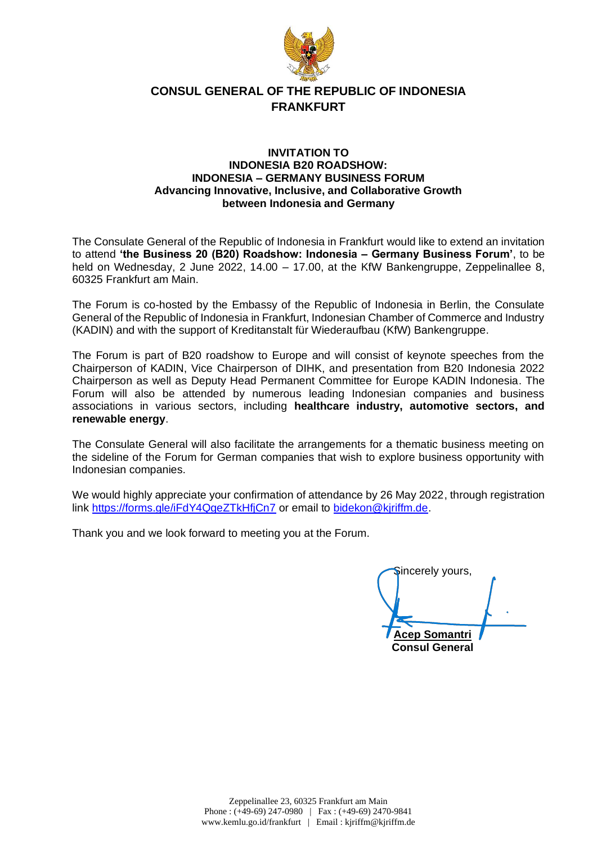

### **CONSUL GENERAL OF THE REPUBLIC OF INDONESIA FRANKFURT**

#### **INVITATION TO INDONESIA B20 ROADSHOW: INDONESIA – GERMANY BUSINESS FORUM Advancing Innovative, Inclusive, and Collaborative Growth between Indonesia and Germany**

The Consulate General of the Republic of Indonesia in Frankfurt would like to extend an invitation to attend **'the Business 20 (B20) Roadshow: Indonesia – Germany Business Forum'**, to be held on Wednesday, 2 June 2022, 14.00 – 17.00, at the KfW Bankengruppe, Zeppelinallee 8, 60325 Frankfurt am Main.

The Forum is co-hosted by the Embassy of the Republic of Indonesia in Berlin, the Consulate General of the Republic of Indonesia in Frankfurt, Indonesian Chamber of Commerce and Industry (KADIN) and with the support of Kreditanstalt für Wiederaufbau (KfW) Bankengruppe.

The Forum is part of B20 roadshow to Europe and will consist of keynote speeches from the Chairperson of KADIN, Vice Chairperson of DIHK, and presentation from B20 Indonesia 2022 Chairperson as well as Deputy Head Permanent Committee for Europe KADIN Indonesia. The Forum will also be attended by numerous leading Indonesian companies and business associations in various sectors, including **healthcare industry, automotive sectors, and renewable energy**.

The Consulate General will also facilitate the arrangements for a thematic business meeting on the sideline of the Forum for German companies that wish to explore business opportunity with Indonesian companies.

We would highly appreciate your confirmation of attendance by 26 May 2022, through registration link<https://forms.gle/iFdY4QgeZTkHfjCn7> or email to [bidekon@kjriffm.de.](mailto:bidekon@kjriffm.de)

Thank you and we look forward to meeting you at the Forum.

Sincerely yours, **Acep Somantri Consul General**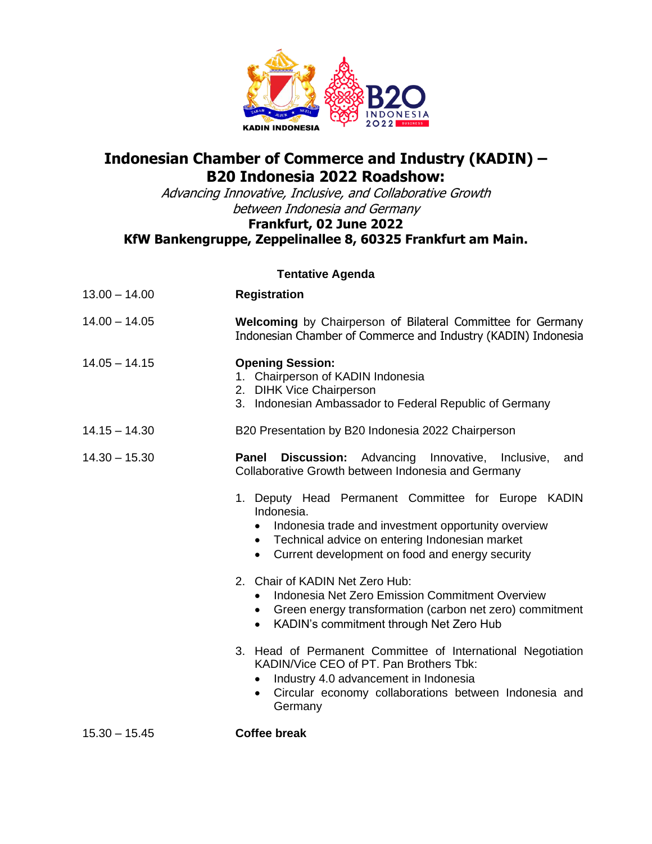

# **Indonesian Chamber of Commerce and Industry (KADIN) – B20 Indonesia 2022 Roadshow:**

Advancing Innovative, Inclusive, and Collaborative Growth between Indonesia and Germany

## **Frankfurt, 02 June 2022**

## **KfW Bankengruppe, Zeppelinallee 8, 60325 Frankfurt am Main.**

| <b>Tentative Agenda</b> |                                                                                                                                                                                                                                   |
|-------------------------|-----------------------------------------------------------------------------------------------------------------------------------------------------------------------------------------------------------------------------------|
| $13.00 - 14.00$         | <b>Registration</b>                                                                                                                                                                                                               |
| $14.00 - 14.05$         | Welcoming by Chairperson of Bilateral Committee for Germany<br>Indonesian Chamber of Commerce and Industry (KADIN) Indonesia                                                                                                      |
| $14.05 - 14.15$         | <b>Opening Session:</b><br>1. Chairperson of KADIN Indonesia<br>2. DIHK Vice Chairperson<br>3. Indonesian Ambassador to Federal Republic of Germany                                                                               |
| $14.15 - 14.30$         | B20 Presentation by B20 Indonesia 2022 Chairperson                                                                                                                                                                                |
| $14.30 - 15.30$         | <b>Panel Discussion:</b> Advancing Innovative, Inclusive,<br>and<br>Collaborative Growth between Indonesia and Germany                                                                                                            |
|                         | 1. Deputy Head Permanent Committee for Europe KADIN<br>Indonesia.<br>Indonesia trade and investment opportunity overview<br>• Technical advice on entering Indonesian market<br>• Current development on food and energy security |
|                         | 2. Chair of KADIN Net Zero Hub:<br>Indonesia Net Zero Emission Commitment Overview<br>$\bullet$<br>• Green energy transformation (carbon net zero) commitment<br>KADIN's commitment through Net Zero Hub<br>$\bullet$             |
|                         | 3. Head of Permanent Committee of International Negotiation<br>KADIN/Vice CEO of PT. Pan Brothers Tbk:<br>Industry 4.0 advancement in Indonesia<br>Circular economy collaborations between Indonesia and<br>$\bullet$<br>Germany  |
| $15.30 - 15.45$         | <b>Coffee break</b>                                                                                                                                                                                                               |